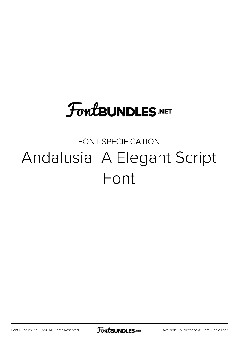# **FoutBUNDLES.NET**

### FONT SPECIFICATION Andalusia A Elegant Script Font

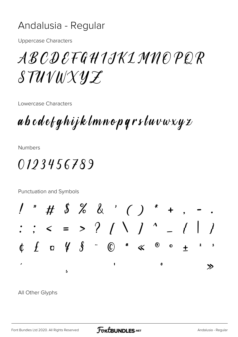#### Andalusia - Regular

**Uppercase Characters** 

## A B C D E F G H I J K L M N O P O R STUVWXYZ

Lowercase Characters

abcdefghijklmnopqrstuvwxyz

**Numbers** 

### 0123456789

Punctuation and Symbols

# \$ % & ' ( ) \* +  $\begin{array}{cccccccccccccccccc} t & f & \alpha & \frac{1}{2} & \frac{1}{2} & \frac{1}{2} & \frac{1}{2} & \frac{1}{2} & \frac{1}{2} & \frac{1}{2} & \frac{1}{2} & \frac{1}{2} & \frac{1}{2} & \frac{1}{2} & \frac{1}{2} & \frac{1}{2} & \frac{1}{2} & \frac{1}{2} & \frac{1}{2} & \frac{1}{2} & \frac{1}{2} & \frac{1}{2} & \frac{1}{2} & \frac{1}{2} & \frac{1}{2} & \frac{1}{2} & \frac{1}{2} & \frac{1}{2} & \frac$  $\circledR$  $\bullet$  $\pmb{2}$  $\overline{\mathbf{3}}$  $\ddot{+}$  $\mathbf{o}$  $\gg$  $\overline{a}$ 

All Other Glyphs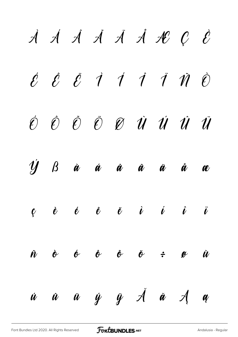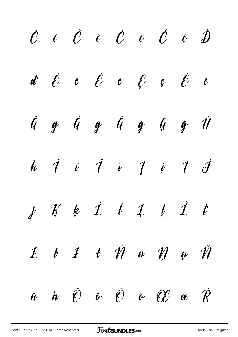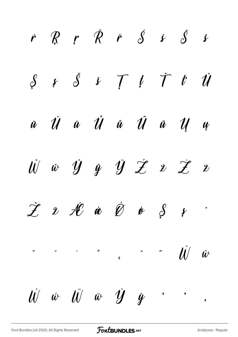$r$   $R$   $r$   $\check{R}$   $\check{r}$   $\check{S}$   $\acute{s}$   $\acute{s}$   $\acute{s}$  $S$   $\zeta$   $\zeta$   $\zeta$   $\zeta$   $\zeta$   $\zeta$   $\zeta$  $\check{u}$   $\check{U}$   $\check{u}$   $\check{U}$   $\check{u}$   $\check{U}$   $\check{u}$   $\check{u}$   $\check{u}$   $\check{u}$  $\hat{W}$   $\hat{w}$   $\hat{y}$   $\hat{y}$   $\hat{y}$   $\hat{z}$   $\hat{z}$   $\hat{z}$   $\hat{z}$  $\check{\mathcal{I}}$   $\check{\mathcal{I}}$   $\mathcal{H}$   $\acute{\mathcal{C}}$   $\acute{\mathcal{C}}$   $\acute{\mathcal{G}}$   $\acute{\mathcal{S}}$   $\acute{\mathcal{S}}$   $\ddot{\mathcal{I}}$  $\checkmark$   $\checkmark$   $\checkmark$   $\checkmark$   $\checkmark$   $\checkmark$   $\checkmark$   $\checkmark$   $\checkmark$   $\checkmark$   $\checkmark$   $\checkmark$   $\checkmark$   $\checkmark$   $\checkmark$   $\checkmark$   $\checkmark$   $\checkmark$   $\checkmark$   $\checkmark$   $\checkmark$   $\checkmark$   $\checkmark$   $\checkmark$   $\checkmark$   $\checkmark$   $\checkmark$   $\checkmark$   $\checkmark$   $\checkmark$   $\checkmark$   $\checkmark$   $\checkmark$   $\checkmark$   $\checkmark$   $\checkmark$   $\checkmark$  $\ddot{\mathbf{u}}$   $\ddot{\mathbf{v}}$   $\ddot{\mathbf{v}}$   $\ddot{\mathbf{v}}$  $\vec{w}$   $\vec{w}$   $\vec{w}$   $\vec{y}$   $\vec{y}$   $\cdots$  $\bullet$